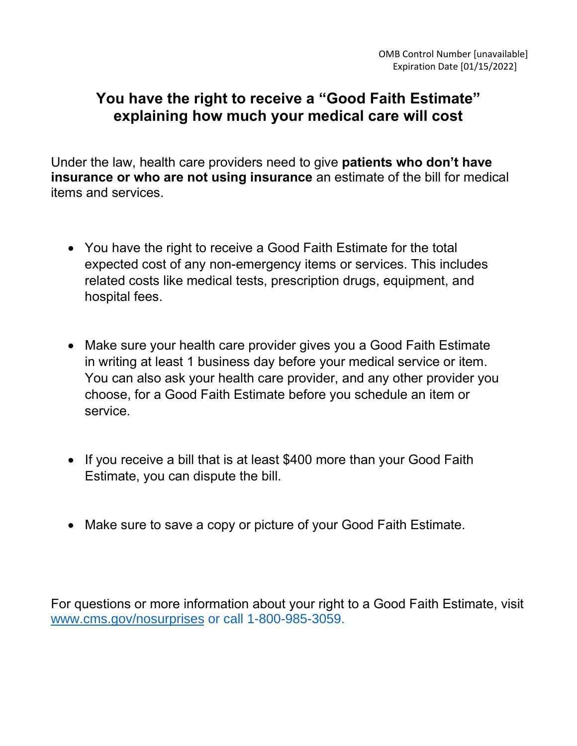## **You have the right to receive a "Good Faith Estimate" explaining how much your medical care will cost**

Under the law, health care providers need to give **patients who don't have insurance or who are not using insurance** an estimate of the bill for medical items and services.

- You have the right to receive a Good Faith Estimate for the total expected cost of any non-emergency items or services. This includes related costs like medical tests, prescription drugs, equipment, and hospital fees.
- Make sure your health care provider gives you a Good Faith Estimate in writing at least 1 business day before your medical service or item. You can also ask your health care provider, and any other provider you choose, for a Good Faith Estimate before you schedule an item or service.
- If you receive a bill that is at least \$400 more than your Good Faith Estimate, you can dispute the bill.
- Make sure to save a copy or picture of your Good Faith Estimate.

For questions or more information about your right to a Good Faith Estimate, visit [www.cms.gov/nosurprises](http://www.cms.gov/nosurprises) or call 1-800-985-3059.